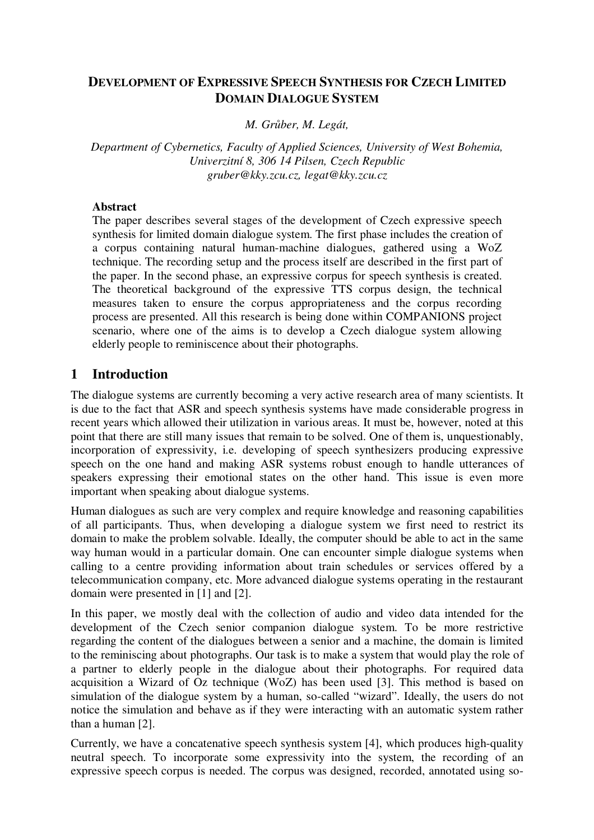### **DEVELOPMENT OF EXPRESSIVE SPEECH SYNTHESIS FOR CZECH LIMITED DOMAIN DIALOGUE SYSTEM**

*M. Grber, M. Legát,*

*Department of Cybernetics, Faculty of Applied Sciences, University of West Bohemia, Univerzitní 8, 306 14 Pilsen, Czech Republic gruber@kky.zcu.cz, legat@kky.zcu.cz*

#### **Abstract**

The paper describes several stages of the development of Czech expressive speech synthesis for limited domain dialogue system. The first phase includes the creation of a corpus containing natural human-machine dialogues, gathered using a WoZ technique. The recording setup and the process itself are described in the first part of the paper. In the second phase, an expressive corpus for speech synthesis is created. The theoretical background of the expressive TTS corpus design, the technical measures taken to ensure the corpus appropriateness and the corpus recording process are presented. All this research is being done within COMPANIONS project scenario, where one of the aims is to develop a Czech dialogue system allowing elderly people to reminiscence about their photographs.

### **1 Introduction**

The dialogue systems are currently becoming a very active research area of many scientists. It is due to the fact that ASR and speech synthesis systems have made considerable progress in recent years which allowed their utilization in various areas. It must be, however, noted at this point that there are still many issues that remain to be solved. One of them is, unquestionably, incorporation of expressivity, i.e. developing of speech synthesizers producing expressive speech on the one hand and making ASR systems robust enough to handle utterances of speakers expressing their emotional states on the other hand. This issue is even more important when speaking about dialogue systems.

Human dialogues as such are very complex and require knowledge and reasoning capabilities of all participants. Thus, when developing a dialogue system we first need to restrict its domain to make the problem solvable. Ideally, the computer should be able to act in the same way human would in a particular domain. One can encounter simple dialogue systems when calling to a centre providing information about train schedules or services offered by a telecommunication company, etc. More advanced dialogue systems operating in the restaurant domain were presented in [1] and [2].

In this paper, we mostly deal with the collection of audio and video data intended for the development of the Czech senior companion dialogue system. To be more restrictive regarding the content of the dialogues between a senior and a machine, the domain is limited to the reminiscing about photographs. Our task is to make a system that would play the role of a partner to elderly people in the dialogue about their photographs. For required data acquisition a Wizard of Oz technique (WoZ) has been used [3]. This method is based on simulation of the dialogue system by a human, so-called "wizard". Ideally, the users do not notice the simulation and behave as if they were interacting with an automatic system rather than a human [2].

Currently, we have a concatenative speech synthesis system [4], which produces high-quality neutral speech. To incorporate some expressivity into the system, the recording of an expressive speech corpus is needed. The corpus was designed, recorded, annotated using so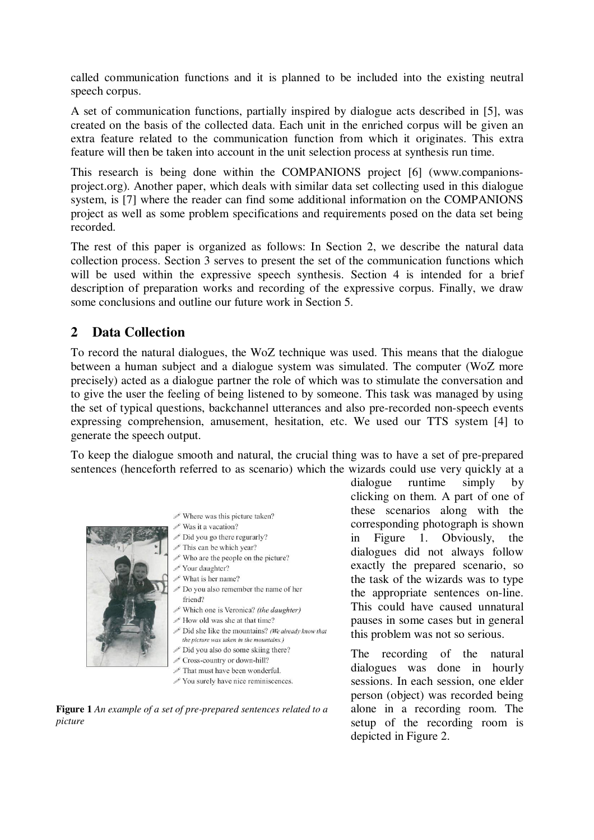called communication functions and it is planned to be included into the existing neutral speech corpus.

A set of communication functions, partially inspired by dialogue acts described in [5], was created on the basis of the collected data. Each unit in the enriched corpus will be given an extra feature related to the communication function from which it originates. This extra feature will then be taken into account in the unit selection process at synthesis run time.

This research is being done within the COMPANIONS project [6] (www.companionsproject.org). Another paper, which deals with similar data set collecting used in this dialogue system, is [7] where the reader can find some additional information on the COMPANIONS project as well as some problem specifications and requirements posed on the data set being recorded.

The rest of this paper is organized as follows: In Section 2, we describe the natural data collection process. Section 3 serves to present the set of the communication functions which will be used within the expressive speech synthesis. Section 4 is intended for a brief description of preparation works and recording of the expressive corpus. Finally, we draw some conclusions and outline our future work in Section 5.

## **2 Data Collection**

To record the natural dialogues, the WoZ technique was used. This means that the dialogue between a human subject and a dialogue system was simulated. The computer (WoZ more precisely) acted as a dialogue partner the role of which was to stimulate the conversation and to give the user the feeling of being listened to by someone. This task was managed by using the set of typical questions, backchannel utterances and also pre-recorded non-speech events expressing comprehension, amusement, hesitation, etc. We used our TTS system [4] to generate the speech output.

To keep the dialogue smooth and natural, the crucial thing was to have a set of pre-prepared sentences (henceforth referred to as scenario) which the wizards could use very quickly at a



- $\mathscr{P}$  Where was this picture taken?
- $\mathscr{P}$  Was it a vacation?
- Did you go there regurarly?
- $\mathscr$  This can be which year?
- $\mathscr S$  Who are the people on the picture?
- Your daughter? What is her name?
- Do you also remember the name of her friend?
- Which one is Veronica? (the daughter)
- $\ell$  How old was she at that time?
- Did she like the mountains? (We already know that the picture was taken in the mountains.)
- Did you also do some skiing there?
- Cross-country or down-hill?
- That must have been wonderful
- $\mathscr{D}$  You surely have nice reminiscences.

**Figure 1** *An example of a set of pre-prepared sentences related to a picture*

dialogue runtime simply by clicking on them. A part of one of these scenarios along with the corresponding photograph is shown in Figure 1. Obviously, the dialogues did not always follow exactly the prepared scenario, so the task of the wizards was to type the appropriate sentences on-line. This could have caused unnatural pauses in some cases but in general this problem was not so serious.

The recording of the natural dialogues was done in hourly sessions. In each session, one elder person (object) was recorded being alone in a recording room. The setup of the recording room is depicted in Figure 2.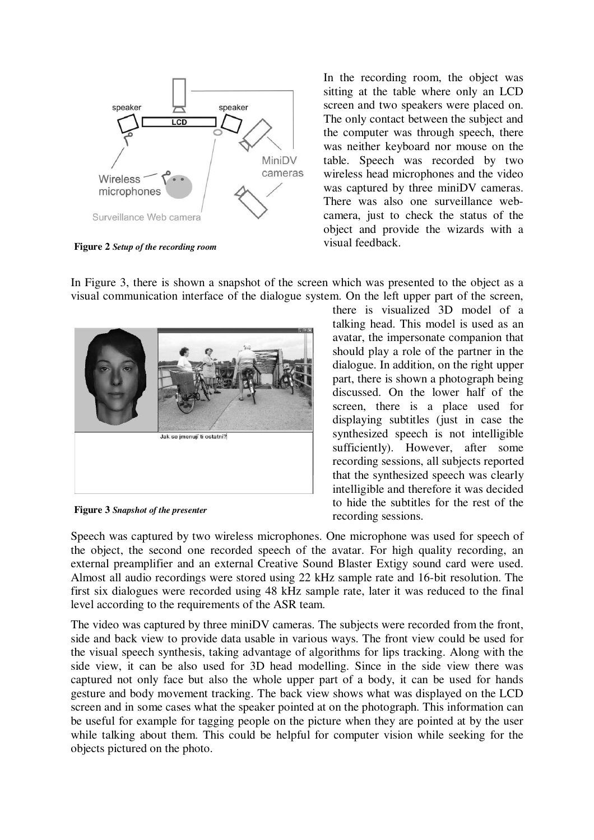

**Figure 2** *Setup of the recording room*

In the recording room, the object was sitting at the table where only an LCD screen and two speakers were placed on. The only contact between the subject and the computer was through speech, there was neither keyboard nor mouse on the table. Speech was recorded by two wireless head microphones and the video was captured by three miniDV cameras. There was also one surveillance webcamera, just to check the status of the object and provide the wizards with a visual feedback.

In Figure 3, there is shown a snapshot of the screen which was presented to the object as a visual communication interface of the dialogue system. On the left upper part of the screen,



**Figure 3** *Snapshot of the presenter*

there is visualized 3D model of a talking head. This model is used as an avatar, the impersonate companion that should play a role of the partner in the dialogue. In addition, on the right upper part, there is shown a photograph being discussed. On the lower half of the screen, there is a place used for displaying subtitles (just in case the synthesized speech is not intelligible sufficiently). However, after some recording sessions, all subjects reported that the synthesized speech was clearly intelligible and therefore it was decided to hide the subtitles for the rest of the recording sessions.

Speech was captured by two wireless microphones. One microphone was used for speech of the object, the second one recorded speech of the avatar. For high quality recording, an external preamplifier and an external Creative Sound Blaster Extigy sound card were used. Almost all audio recordings were stored using 22 kHz sample rate and 16-bit resolution. The first six dialogues were recorded using 48 kHz sample rate, later it was reduced to the final level according to the requirements of the ASR team.

The video was captured by three miniDV cameras. The subjects were recorded from the front, side and back view to provide data usable in various ways. The front view could be used for the visual speech synthesis, taking advantage of algorithms for lips tracking. Along with the side view, it can be also used for 3D head modelling. Since in the side view there was captured not only face but also the whole upper part of a body, it can be used for hands gesture and body movement tracking. The back view shows what was displayed on the LCD screen and in some cases what the speaker pointed at on the photograph. This information can be useful for example for tagging people on the picture when they are pointed at by the user while talking about them. This could be helpful for computer vision while seeking for the objects pictured on the photo.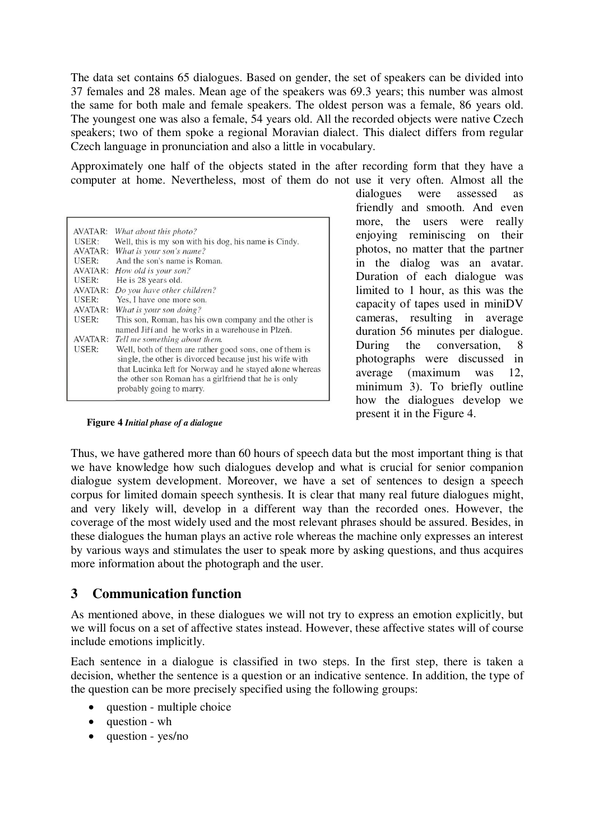The data set contains 65 dialogues. Based on gender, the set of speakers can be divided into 37 females and 28 males. Mean age of the speakers was 69.3 years; this number was almost the same for both male and female speakers. The oldest person was a female, 86 years old. The youngest one was also a female, 54 years old. All the recorded objects were native Czech speakers; two of them spoke a regional Moravian dialect. This dialect differs from regular Czech language in pronunciation and also a little in vocabulary.

Approximately one half of the objects stated in the after recording form that they have a computer at home. Nevertheless, most of them do not use it very often. Almost all the

| AVATAR: | What about this photo?                                                                                                                                                                                                                                              |
|---------|---------------------------------------------------------------------------------------------------------------------------------------------------------------------------------------------------------------------------------------------------------------------|
| USER:   | Well, this is my son with his dog, his name is Cindy.                                                                                                                                                                                                               |
| AVATAR: | What is your son's name?                                                                                                                                                                                                                                            |
| USER:   | And the son's name is Roman.                                                                                                                                                                                                                                        |
| AVATAR: | How old is your son?                                                                                                                                                                                                                                                |
| USER:   | He is 28 years old.                                                                                                                                                                                                                                                 |
| AVATAR: | Do you have other children?                                                                                                                                                                                                                                         |
| USER:   | Yes, I have one more son.                                                                                                                                                                                                                                           |
| AVATAR: | What is your son doing?                                                                                                                                                                                                                                             |
| USER:   | This son, Roman, has his own company and the other is<br>named Jiří and he works in a warehouse in Plzeň.                                                                                                                                                           |
|         | AVATAR: Tell me something about them.                                                                                                                                                                                                                               |
| USER:   | Well, both of them are rather good sons, one of them is<br>single, the other is divorced because just his wife with<br>that Lucinka left for Norway and he stayed alone whereas<br>the other son Roman has a girlfriend that he is only<br>probably going to marry. |

dialogues were assessed as friendly and smooth. And even more, the users were really enjoying reminiscing on their photos, no matter that the partner in the dialog was an avatar. Duration of each dialogue was limited to 1 hour, as this was the capacity of tapes used in miniDV cameras, resulting in average duration 56 minutes per dialogue. During the conversation, 8 photographs were discussed in average (maximum was 12, minimum 3). To briefly outline how the dialogues develop we present it in the Figure 4.

Thus, we have gathered more than 60 hours of speech data but the most important thing is that we have knowledge how such dialogues develop and what is crucial for senior companion dialogue system development. Moreover, we have a set of sentences to design a speech corpus for limited domain speech synthesis. It is clear that many real future dialogues might, and very likely will, develop in a different way than the recorded ones. However, the coverage of the most widely used and the most relevant phrases should be assured. Besides, in these dialogues the human plays an active role whereas the machine only expresses an interest by various ways and stimulates the user to speak more by asking questions, and thus acquires more information about the photograph and the user.

#### **3 Communication function**

**Figure 4** *Initial phase of a dialogue*

As mentioned above, in these dialogues we will not try to express an emotion explicitly, but we will focus on a set of affective states instead. However, these affective states will of course include emotions implicitly.

Each sentence in a dialogue is classified in two steps. In the first step, there is taken a decision, whether the sentence is a question or an indicative sentence. In addition, the type of the question can be more precisely specified using the following groups:

- question multiple choice
- question wh
- question yes/no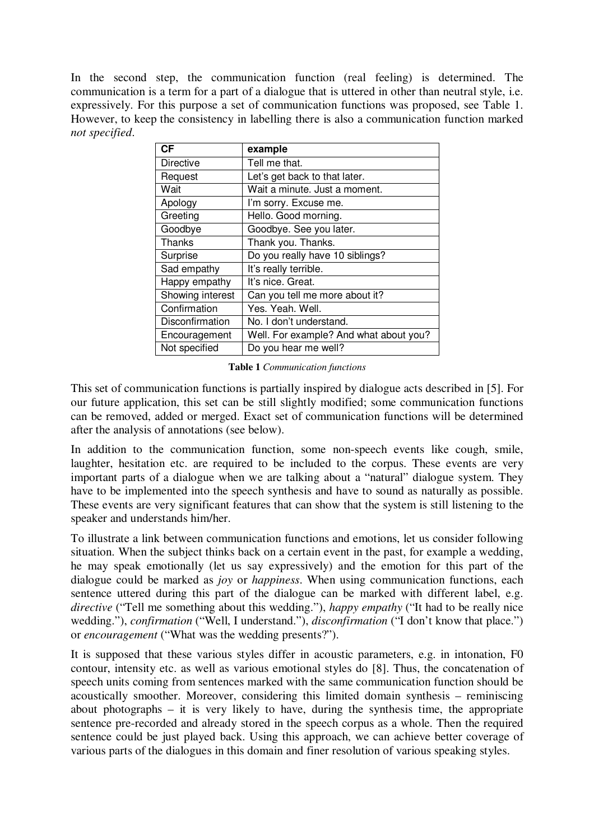In the second step, the communication function (real feeling) is determined. The communication is a term for a part of a dialogue that is uttered in other than neutral style, i.e. expressively. For this purpose a set of communication functions was proposed, see Table 1. However, to keep the consistency in labelling there is also a communication function marked *not specified*.

| <b>CF</b>        | example                                |
|------------------|----------------------------------------|
| Directive        | Tell me that.                          |
| Request          | Let's get back to that later.          |
| Wait             | Wait a minute. Just a moment.          |
| Apology          | I'm sorry. Excuse me.                  |
| Greeting         | Hello. Good morning.                   |
| Goodbye          | Goodbye. See you later.                |
| Thanks           | Thank you. Thanks.                     |
| Surprise         | Do you really have 10 siblings?        |
| Sad empathy      | It's really terrible.                  |
| Happy empathy    | It's nice. Great.                      |
| Showing interest | Can you tell me more about it?         |
| Confirmation     | Yes. Yeah. Well.                       |
| Disconfirmation  | No. I don't understand.                |
| Encouragement    | Well. For example? And what about you? |
| Not specified    | Do you hear me well?                   |

**Table 1** *Communication functions*

This set of communication functions is partially inspired by dialogue acts described in [5]. For our future application, this set can be still slightly modified; some communication functions can be removed, added or merged. Exact set of communication functions will be determined after the analysis of annotations (see below).

In addition to the communication function, some non-speech events like cough, smile, laughter, hesitation etc. are required to be included to the corpus. These events are very important parts of a dialogue when we are talking about a "natural" dialogue system. They have to be implemented into the speech synthesis and have to sound as naturally as possible. These events are very significant features that can show that the system is still listening to the speaker and understands him/her.

To illustrate a link between communication functions and emotions, let us consider following situation. When the subject thinks back on a certain event in the past, for example a wedding, he may speak emotionally (let us say expressively) and the emotion for this part of the dialogue could be marked as *joy* or *happiness*. When using communication functions, each sentence uttered during this part of the dialogue can be marked with different label, e.g. *directive* ("Tell me something about this wedding."), *happy empathy* ("It had to be really nice wedding."), *confirmation* ("Well, I understand."), *disconfirmation* ("I don't know that place.") or *encouragement* ("What was the wedding presents?").

It is supposed that these various styles differ in acoustic parameters, e.g. in intonation, F0 contour, intensity etc. as well as various emotional styles do [8]. Thus, the concatenation of speech units coming from sentences marked with the same communication function should be acoustically smoother. Moreover, considering this limited domain synthesis – reminiscing about photographs – it is very likely to have, during the synthesis time, the appropriate sentence pre-recorded and already stored in the speech corpus as a whole. Then the required sentence could be just played back. Using this approach, we can achieve better coverage of various parts of the dialogues in this domain and finer resolution of various speaking styles.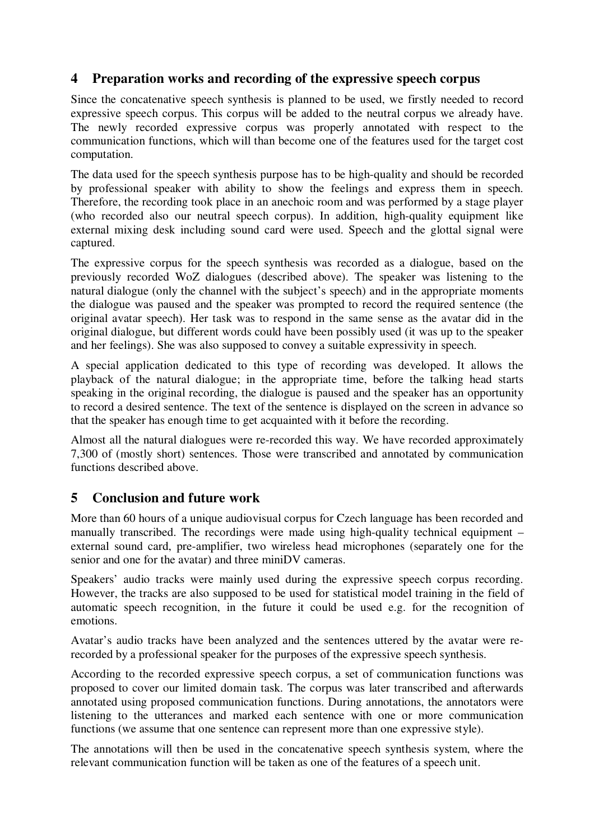## **4 Preparation works and recording of the expressive speech corpus**

Since the concatenative speech synthesis is planned to be used, we firstly needed to record expressive speech corpus. This corpus will be added to the neutral corpus we already have. The newly recorded expressive corpus was properly annotated with respect to the communication functions, which will than become one of the features used for the target cost computation.

The data used for the speech synthesis purpose has to be high-quality and should be recorded by professional speaker with ability to show the feelings and express them in speech. Therefore, the recording took place in an anechoic room and was performed by a stage player (who recorded also our neutral speech corpus). In addition, high-quality equipment like external mixing desk including sound card were used. Speech and the glottal signal were captured.

The expressive corpus for the speech synthesis was recorded as a dialogue, based on the previously recorded WoZ dialogues (described above). The speaker was listening to the natural dialogue (only the channel with the subject's speech) and in the appropriate moments the dialogue was paused and the speaker was prompted to record the required sentence (the original avatar speech). Her task was to respond in the same sense as the avatar did in the original dialogue, but different words could have been possibly used (it was up to the speaker and her feelings). She was also supposed to convey a suitable expressivity in speech.

A special application dedicated to this type of recording was developed. It allows the playback of the natural dialogue; in the appropriate time, before the talking head starts speaking in the original recording, the dialogue is paused and the speaker has an opportunity to record a desired sentence. The text of the sentence is displayed on the screen in advance so that the speaker has enough time to get acquainted with it before the recording.

Almost all the natural dialogues were re-recorded this way. We have recorded approximately 7,300 of (mostly short) sentences. Those were transcribed and annotated by communication functions described above.

# **5 Conclusion and future work**

More than 60 hours of a unique audiovisual corpus for Czech language has been recorded and manually transcribed. The recordings were made using high-quality technical equipment – external sound card, pre-amplifier, two wireless head microphones (separately one for the senior and one for the avatar) and three miniDV cameras.

Speakers' audio tracks were mainly used during the expressive speech corpus recording. However, the tracks are also supposed to be used for statistical model training in the field of automatic speech recognition, in the future it could be used e.g. for the recognition of emotions.

Avatar's audio tracks have been analyzed and the sentences uttered by the avatar were rerecorded by a professional speaker for the purposes of the expressive speech synthesis.

According to the recorded expressive speech corpus, a set of communication functions was proposed to cover our limited domain task. The corpus was later transcribed and afterwards annotated using proposed communication functions. During annotations, the annotators were listening to the utterances and marked each sentence with one or more communication functions (we assume that one sentence can represent more than one expressive style).

The annotations will then be used in the concatenative speech synthesis system, where the relevant communication function will be taken as one of the features of a speech unit.